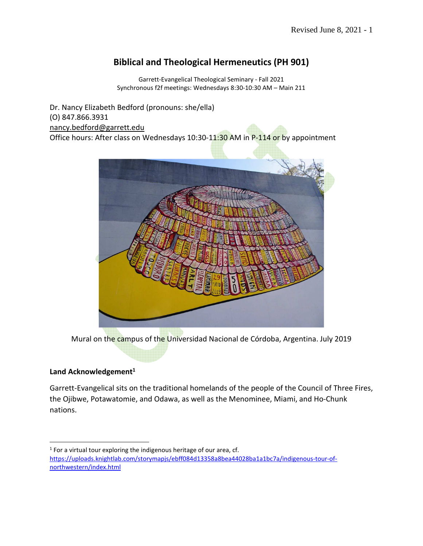# **Biblical and Theological Hermeneutics (PH 901)**

Garrett-Evangelical Theological Seminary - Fall 2021 Synchronous f2f meetings: Wednesdays 8:30-10:30 AM – Main 211

Dr. Nancy Elizabeth Bedford (pronouns: she/ella) (O) 847.866.3931 nancy.bedford@garrett.edu Office hours: After class on Wednesdays 10:30-11:30 AM in P-114 or by appointment



Mural on the campus of the Universidad Nacional de Córdoba, Argentina. July 2019

## **Land Acknowledgement<sup>1</sup>**

Garrett-Evangelical sits on the traditional homelands of the people of the Council of Three Fires, the Ojibwe, Potawatomie, and Odawa, as well as the Menominee, Miami, and Ho-Chunk nations.

 $1$  For a virtual tour exploring the indigenous heritage of our area, cf. https://uploads.knightlab.com/storymapjs/ebff084d13358a8bea44028ba1a1bc7a/indigenous-tour-ofnorthwestern/index.html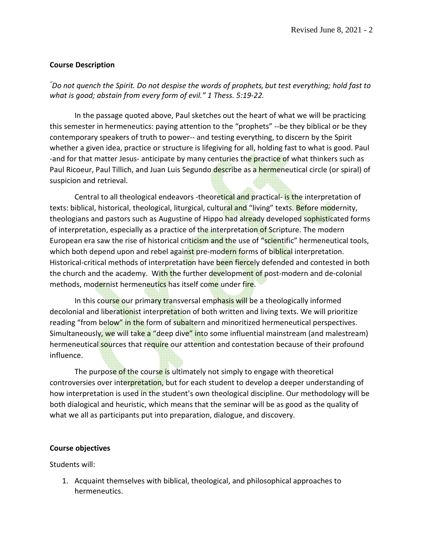#### **Course Description**

*"Do not quench the Spirit. Do not despise the words of prophets, but test everything; hold fast to what is good; abstain from every form of evil." 1 Thess. 5:19-22.* 

 In the passage quoted above, Paul sketches out the heart of what we will be practicing this semester in hermeneutics: paying attention to the "prophets" --be they biblical or be they contemporary speakers of truth to power-- and testing everything, to discern by the Spirit whether a given idea, practice or structure is lifegiving for all, holding fast to what is good. Paul -and for that matter Jesus- anticipate by many centuries the practice of what thinkers such as Paul Ricoeur, Paul Tillich, and Juan Luis Segundo describe as a hermeneutical circle (or spiral) of suspicion and retrieval.

Central to all theological endeavors -theoretical and practical- is the interpretation of texts: biblical, historical, theological, liturgical, cultural and "living" texts. Before modernity, theologians and pastors such as Augustine of Hippo had already developed sophisticated forms of interpretation, especially as a practice of the interpretation of Scripture. The modern European era saw the rise of historical criticism and the use of "scientific" hermeneutical tools, which both depend upon and rebel against pre-modern forms of biblical interpretation. Historical-critical methods of interpretation have been fiercely defended and contested in both the church and the academy. With the further development of post-modern and de-colonial methods, modernist hermeneutics has itself come under fire.

In this course our primary transversal emphasis will be a theologically informed decolonial and liberationist interpretation of both written and living texts. We will prioritize reading "from below" in the form of subaltern and minoritized hermeneutical perspectives. Simultaneously, we will take a "deep dive" into some influential mainstream (and malestream) hermeneutical sources that require our attention and contestation because of their profound influence.

The purpose of the course is ultimately not simply to engage with theoretical controversies over interpretation, but for each student to develop a deeper understanding of how interpretation is used in the student's own theological discipline. Our methodology will be both dialogical and heuristic, which means that the seminar will be as good as the quality of what we all as participants put into preparation, dialogue, and discovery.

#### **Course objectives**

Students will:

1. Acquaint themselves with biblical, theological, and philosophical approaches to hermeneutics.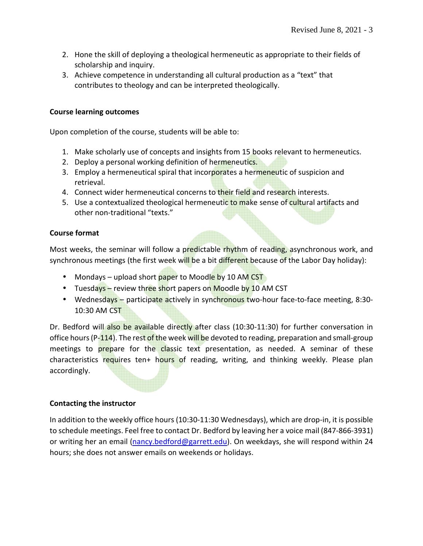- 2. Hone the skill of deploying a theological hermeneutic as appropriate to their fields of scholarship and inquiry.
- 3. Achieve competence in understanding all cultural production as a "text" that contributes to theology and can be interpreted theologically.

#### **Course learning outcomes**

Upon completion of the course, students will be able to:

- 1. Make scholarly use of concepts and insights from 15 books relevant to hermeneutics.
- 2. Deploy a personal working definition of hermeneutics.
- 3. Employ a hermeneutical spiral that incorporates a hermeneutic of suspicion and retrieval.
- 4. Connect wider hermeneutical concerns to their field and research interests.
- 5. Use a contextualized theological hermeneutic to make sense of cultural artifacts and other non-traditional "texts."

## **Course format**

Most weeks, the seminar will follow a predictable rhythm of reading, asynchronous work, and synchronous meetings (the first week will be a bit different because of the Labor Day holiday):

- Mondays upload short paper to Moodle by 10 AM CST
- Tuesdays review three short papers on Moodle by 10 AM CST
- Wednesdays participate actively in synchronous two-hour face-to-face meeting, 8:30-10:30 AM CST

Dr. Bedford will also be available directly after class (10:30-11:30) for further conversation in office hours ( $P-114$ ). The rest of the week will be devoted to reading, preparation and small-group meetings to prepare for the classic text presentation, as needed. A seminar of these characteristics requires ten+ hours of reading, writing, and thinking weekly. Please plan accordingly.

## **Contacting the instructor**

In addition to the weekly office hours (10:30-11:30 Wednesdays), which are drop-in, it is possible to schedule meetings. Feel free to contact Dr. Bedford by leaving her a voice mail (847-866-3931) or writing her an email (nancy.bedford@garrett.edu). On weekdays, she will respond within 24 hours; she does not answer emails on weekends or holidays.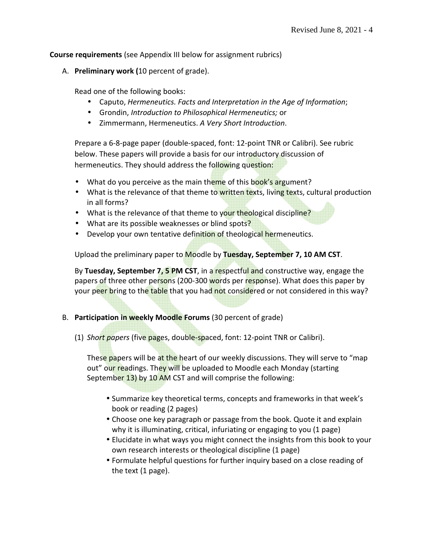**Course requirements** (see Appendix III below for assignment rubrics)

A. **Preliminary work (**10 percent of grade).

Read one of the following books:

- Caputo, *Hermeneutics. Facts and Interpretation in the Age of Information*;
- Grondin, *Introduction to Philosophical Hermeneutics;* or
- Zimmermann, Hermeneutics. *A Very Short Introduction*.

Prepare a 6-8-page paper (double-spaced, font: 12-point TNR or Calibri). See rubric below. These papers will provide a basis for our introductory discussion of hermeneutics. They should address the following question:

- What do you perceive as the main theme of this book's argument?
- What is the relevance of that theme to written texts, living texts, cultural production in all forms?
- What is the relevance of that theme to your theological discipline?
- What are its possible weaknesses or blind spots?
- Develop your own tentative definition of theological hermeneutics.

Upload the preliminary paper to Moodle by **Tuesday, September 7, 10 AM CST**.

By **Tuesday, September 7, 5 PM CST**, in a respectful and constructive way, engage the papers of three other persons (200-300 words per response). What does this paper by your peer bring to the table that you had not considered or not considered in this way?

- B. **Participation in weekly Moodle Forums** (30 percent of grade)
	- (1) *Short papers* (five pages, double-spaced, font: 12-point TNR or Calibri).

These papers will be at the heart of our weekly discussions. They will serve to "map out" our readings. They will be uploaded to Moodle each Monday (starting September 13) by 10 AM CST and will comprise the following:

- Summarize key theoretical terms, concepts and frameworks in that week's book or reading (2 pages)
- Choose one key paragraph or passage from the book. Quote it and explain why it is illuminating, critical, infuriating or engaging to you (1 page)
- Elucidate in what ways you might connect the insights from this book to your own research interests or theological discipline (1 page)
- Formulate helpful questions for further inquiry based on a close reading of the text (1 page).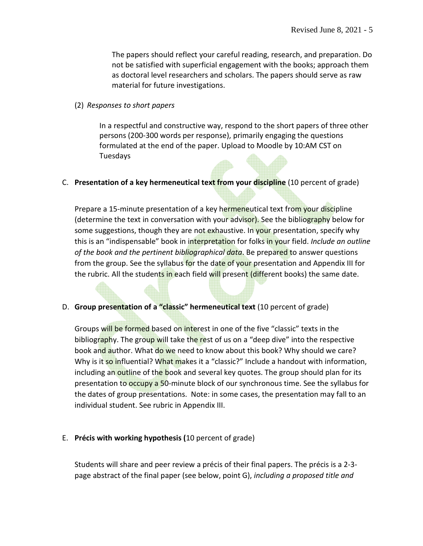The papers should reflect your careful reading, research, and preparation. Do not be satisfied with superficial engagement with the books; approach them as doctoral level researchers and scholars. The papers should serve as raw material for future investigations.

(2) *Responses to short papers* 

In a respectful and constructive way, respond to the short papers of three other persons (200-300 words per response), primarily engaging the questions formulated at the end of the paper. Upload to Moodle by 10:AM CST on Tuesdays

C. **Presentation of a key hermeneutical text from your discipline** (10 percent of grade)

Prepare a 15-minute presentation of a key hermeneutical text from your discipline (determine the text in conversation with your advisor). See the bibliography below for some suggestions, though they are not exhaustive. In your presentation, specify why this is an "indispensable" book in interpretation for folks in your field. *Include an outline of the book and the pertinent bibliographical data*. Be prepared to answer questions from the group. See the syllabus for the date of your presentation and Appendix III for the rubric. All the students in each field will present (different books) the same date.

D. **Group presentation of a "classic" hermeneutical text** (10 percent of grade)

Groups will be formed based on interest in one of the five "classic" texts in the bibliography. The group will take the rest of us on a "deep dive" into the respective book and author. What do we need to know about this book? Why should we care? Why is it so influential? What makes it a "classic?" Include a handout with information, including an outline of the book and several key quotes. The group should plan for its presentation to occupy a 50-minute block of our synchronous time. See the syllabus for the dates of group presentations. Note: in some cases, the presentation may fall to an individual student. See rubric in Appendix III.

E. **Précis with working hypothesis (**10 percent of grade)

Students will share and peer review a précis of their final papers. The précis is a 2-3 page abstract of the final paper (see below, point G), *including a proposed title and*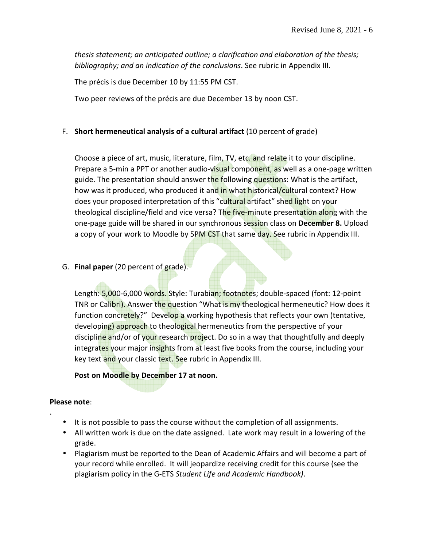*thesis statement; an anticipated outline; a clarification and elaboration of the thesis; bibliography; and an indication of the conclusions*. See rubric in Appendix III.

The précis is due December 10 by 11:55 PM CST.

Two peer reviews of the précis are due December 13 by noon CST.

## F. **Short hermeneutical analysis of a cultural artifact** (10 percent of grade)

Choose a piece of art, music, literature, film, TV, etc. and relate it to your discipline. Prepare a 5-min a PPT or another audio-visual component, as well as a one-page written guide. The presentation should answer the following questions: What is the artifact, how was it produced, who produced it and in what historical/cultural context? How does your proposed interpretation of this "cultural artifact" shed light on your theological discipline/field and vice versa? The five-minute presentation along with the one-page guide will be shared in our synchronous session class on **December 8.** Upload a copy of your work to Moodle by 5PM CST that same day. See rubric in Appendix III.

## G. **Final paper** (20 percent of grade).

Length: 5,000-6,000 words. Style: Turabian; footnotes; double-spaced (font: 12-point TNR or Calibri). Answer the question "What is my theological hermeneutic? How does it function concretely?" Develop a working hypothesis that reflects your own (tentative, developing) approach to theological hermeneutics from the perspective of your discipline and/or of your research project. Do so in a way that thoughtfully and deeply integrates your major insights from at least five books from the course, including your key text and your classic text. See rubric in Appendix III.

## **Post on Moodle by December 17 at noon.**

#### **Please note**:

.

- It is not possible to pass the course without the completion of all assignments.
- All written work is due on the date assigned. Late work may result in a lowering of the grade.
- Plagiarism must be reported to the Dean of Academic Affairs and will become a part of your record while enrolled. It will jeopardize receiving credit for this course (see the plagiarism policy in the G-ETS *Student Life and Academic Handbook)*.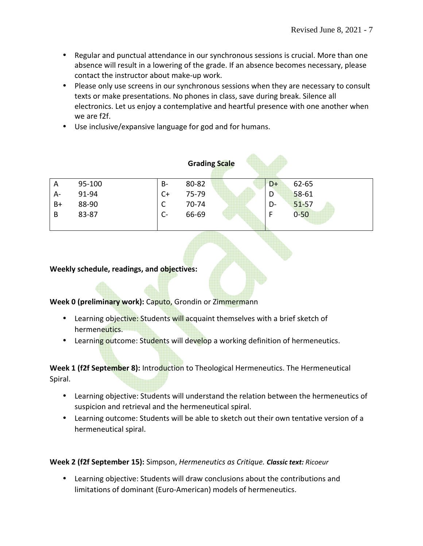- Regular and punctual attendance in our synchronous sessions is crucial. More than one absence will result in a lowering of the grade. If an absence becomes necessary, please contact the instructor about make-up work.
- Please only use screens in our synchronous sessions when they are necessary to consult texts or make presentations. No phones in class, save during break. Silence all electronics. Let us enjoy a contemplative and heartful presence with one another when we are f2f.
- Use inclusive/expansive language for god and for humans.

| <b>Grading Scale</b> |        |           |       |  |      |           |
|----------------------|--------|-----------|-------|--|------|-----------|
| A                    | 95-100 | <b>B-</b> | 80-82 |  | $D+$ | 62-65     |
| A-                   | 91-94  | $C+$      | 75-79 |  | D    | $58 - 61$ |
| $B+$                 | 88-90  | C         | 70-74 |  | D-   | $51 - 57$ |
| B                    | 83-87  | $C -$     | 66-69 |  | E    | $0 - 50$  |

#### **Weekly schedule, readings, and objectives:**

#### **Week 0 (preliminary work):** Caputo, Grondin or Zimmermann

- Learning objective: Students will acquaint themselves with a brief sketch of hermeneutics.
- Learning outcome: Students will develop a working definition of hermeneutics.

**Week 1 (f2f September 8):** Introduction to Theological Hermeneutics. The Hermeneutical Spiral.

- Learning objective: Students will understand the relation between the hermeneutics of suspicion and retrieval and the hermeneutical spiral.
- Learning outcome: Students will be able to sketch out their own tentative version of a hermeneutical spiral.

#### **Week 2 (f2f September 15):** Simpson, *Hermeneutics as Critique. Classic text: Ricoeur*

• Learning objective: Students will draw conclusions about the contributions and limitations of dominant (Euro-American) models of hermeneutics.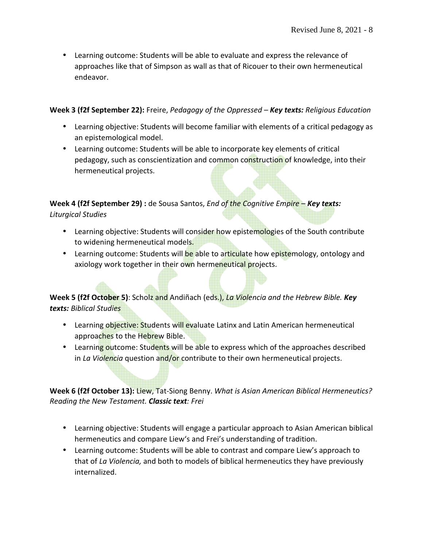• Learning outcome: Students will be able to evaluate and express the relevance of approaches like that of Simpson as wall as that of Ricouer to their own hermeneutical endeavor.

#### **Week 3 (f2f September 22):** Freire, *Pedagogy of the Oppressed – Key texts: Religious Education*

- Learning objective: Students will become familiar with elements of a critical pedagogy as an epistemological model.
- Learning outcome: Students will be able to incorporate key elements of critical pedagogy, such as conscientization and common construction of knowledge, into their hermeneutical projects.

**Week 4 (f2f September 29) :** de Sousa Santos, *End of the Cognitive Empire* – *Key texts: Liturgical Studies* 

- Learning objective: Students will consider how epistemologies of the South contribute to widening hermeneutical models.
- Learning outcome: Students will be able to articulate how epistemology, ontology and axiology work together in their own hermeneutical projects.

**Week 5 (f2f October 5)**: Scholz and Andiñach (eds.), *La Violencia and the Hebrew Bible. Key texts: Biblical Studies* 

- Learning objective: Students will evaluate Latinx and Latin American hermeneutical approaches to the Hebrew Bible.
- Learning outcome: Students will be able to express which of the approaches described in *La Violencia* question and/or contribute to their own hermeneutical projects.

**Week 6 (f2f October 13):** Liew, Tat-Siong Benny. *What is Asian American Biblical Hermeneutics? Reading the New Testament. Classic text: Frei* 

- Learning objective: Students will engage a particular approach to Asian American biblical hermeneutics and compare Liew's and Frei's understanding of tradition.
- Learning outcome: Students will be able to contrast and compare Liew's approach to that of *La Violencia,* and both to models of biblical hermeneutics they have previously internalized.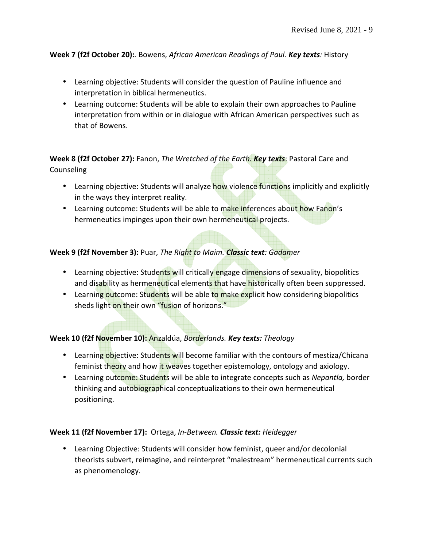#### **Week 7 (f2f October 20):***.* Bowens, *African American Readings of Paul. Key texts:* History

- Learning objective: Students will consider the question of Pauline influence and interpretation in biblical hermeneutics.
- Learning outcome: Students will be able to explain their own approaches to Pauline interpretation from within or in dialogue with African American perspectives such as that of Bowens.

## **Week 8 (f2f October 27):** Fanon, *The Wretched of the Earth. Key texts*: Pastoral Care and Counseling

- Learning objective: Students will analyze how violence functions implicitly and explicitly in the ways they interpret reality.
- Learning outcome: Students will be able to make inferences about how Fanon's hermeneutics impinges upon their own hermeneutical projects.

## **Week 9 (f2f November 3):** Puar, *The Right to Maim. Classic text: Gadamer*

- Learning objective: Students will critically engage dimensions of sexuality, biopolitics and disability as hermeneutical elements that have historically often been suppressed.
- Learning outcome: Students will be able to make explicit how considering biopolitics sheds light on their own "fusion of horizons."

## **Week 10 (f2f November 10):** Anzaldúa, *Borderlands. Key texts: Theology*

- Learning objective: Students will become familiar with the contours of mestiza/Chicana feminist theory and how it weaves together epistemology, ontology and axiology.
- Learning outcome: Students will be able to integrate concepts such as *Nepantla,* border thinking and autobiographical conceptualizations to their own hermeneutical positioning.

#### **Week 11 (f2f November 17):** Ortega, *In-Between. Classic text: Heidegger*

• Learning Objective: Students will consider how feminist, queer and/or decolonial theorists subvert, reimagine, and reinterpret "malestream" hermeneutical currents such as phenomenology.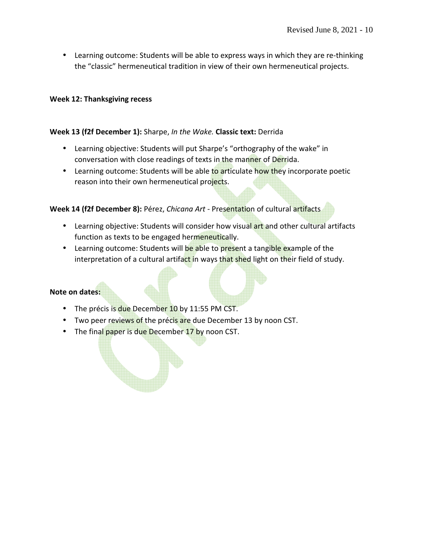• Learning outcome: Students will be able to express ways in which they are re-thinking the "classic" hermeneutical tradition in view of their own hermeneutical projects.

#### **Week 12: Thanksgiving recess**

#### **Week 13 (f2f December 1):** Sharpe, *In the Wake.* **Classic text:** Derrida

- Learning objective: Students will put Sharpe's "orthography of the wake" in conversation with close readings of texts in the manner of Derrida.
- Learning outcome: Students will be able to articulate how they incorporate poetic reason into their own hermeneutical projects.

## **Week 14 (f2f December 8):** Pérez, *Chicana Art -* Presentation of cultural artifacts

- Learning objective: Students will consider how visual art and other cultural artifacts function as texts to be engaged hermeneutically.
- Learning outcome: Students will be able to present a tangible example of the interpretation of a cultural artifact in ways that shed light on their field of study.

## **Note on dates:**

- The précis is due December 10 by 11:55 PM CST.
- Two peer reviews of the précis are due December 13 by noon CST.
- The final paper is due December 17 by noon CST.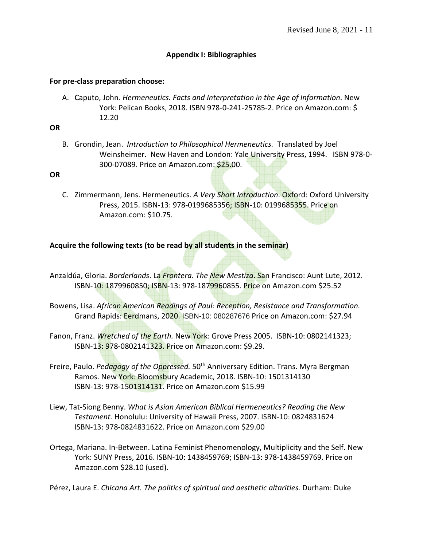## **Appendix I: Bibliographies**

#### **For pre-class preparation choose:**

A. Caputo, John*. Hermeneutics. Facts and Interpretation in the Age of Information*. New York: Pelican Books, 2018. ISBN 978-0-241-25785-2. Price on Amazon.com: \$ 12.20

#### **OR**

B. Grondin, Jean. *Introduction to Philosophical Hermeneutics.* Translated by Joel Weinsheimer. New Haven and London: Yale University Press, 1994. ISBN 978-0- 300-07089. Price on Amazon.com: \$25.00.

#### **OR**

C. Zimmermann, Jens. Hermeneutics. *A Very Short Introduction*. Oxford: Oxford University Press, 2015. ISBN-13: 978-0199685356; ISBN-10: 0199685355. Price on Amazon.com: \$10.75.

## **Acquire the following texts (to be read by all students in the seminar)**

- Anzaldúa, Gloria. *Borderlands*. La *Frontera. The New Mestiza*. San Francisco: Aunt Lute, 2012. ISBN-10: 1879960850; ISBN-13: 978-1879960855. Price on Amazon.com \$25.52
- Bowens, Lisa. *African American Readings of Paul: Reception, Resistance and Transformation.*  Grand Rapids: Eerdmans, 2020. ISBN-10: 080287676 Price on Amazon.com: \$27.94
- Fanon, Franz. *Wretched of the Earth.* New York: Grove Press 2005. ISBN-10: 0802141323; ISBN-13: 978-0802141323. Price on Amazon.com: \$9.29.
- Freire, Paulo. *Pedagogy of the Oppressed.* 50th Anniversary Edition. Trans. Myra Bergman Ramos. New York: Bloomsbury Academic, 2018. ISBN-10: 1501314130 ISBN-13: 978-1501314131. Price on Amazon.com \$15.99
- Liew, Tat-Siong Benny. *What is Asian American Biblical Hermeneutics? Reading the New Testament.* Honolulu: University of Hawaii Press, 2007. ISBN-10: 0824831624 ISBN-13: 978-0824831622. Price on Amazon.com \$29.00
- Ortega, Mariana. In-Between. Latina Feminist Phenomenology, Multiplicity and the Self. New York: SUNY Press, 2016. ISBN-10: 1438459769; ISBN-13: 978-1438459769. Price on Amazon.com \$28.10 (used).

Pérez, Laura E. *Chicana Art. The politics of spiritual and aesthetic altarities.* Durham: Duke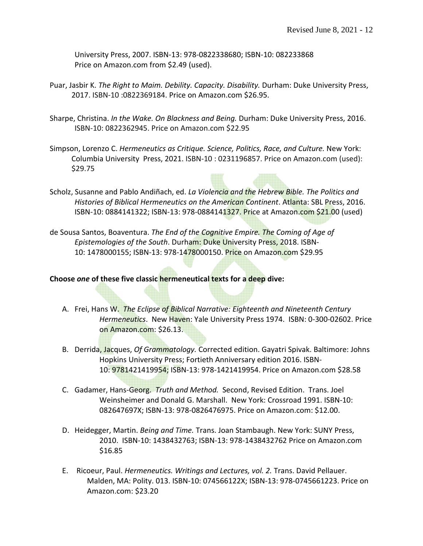University Press, 2007. ISBN-13: 978-0822338680; ISBN-10: 082233868 Price on Amazon.com from \$2.49 (used).

- Puar, Jasbir K. *The Right to Maim. Debility. Capacity. Disability.* Durham: Duke University Press, 2017. ISBN-10 :0822369184. Price on Amazon.com \$26.95.
- Sharpe, Christina. *In the Wake. On Blackness and Being.* Durham: Duke University Press, 2016. ISBN-10: 0822362945. Price on Amazon.com \$22.95
- Simpson, Lorenzo C. *Hermeneutics as Critique. Science, Politics, Race, and Culture.* New York: Columbia University Press, 2021. ISBN-10 : 0231196857. Price on Amazon.com (used): \$29.75
- Scholz, Susanne and Pablo Andiñach, ed. *La Violencia and the Hebrew Bible. The Politics and Histories of Biblical Hermeneutics on the American Continent*. Atlanta: SBL Press, 2016. ISBN-10: 0884141322; ISBN-13: 978-0884141327. Price at Amazon.com \$21.00 (used)
- de Sousa Santos, Boaventura. *The End of the Cognitive Empire. The Coming of Age of Epistemologies of the South*. Durham: Duke University Press, 2018. ISBN-10: 1478000155; ISBN-13: 978-1478000150. Price on Amazon.com \$29.95

#### **Choose** *one* **of these five classic hermeneutical texts for a deep dive:**

- A. Frei, Hans W. *The Eclipse of Biblical Narrative: Eighteenth and Nineteenth Century Hermeneutics*. New Haven: Yale University Press 1974. ISBN: 0-300-02602. Price on Amazon.com: \$26.13.
- B. Derrida, Jacques, *Of Grammatology.* Corrected edition. Gayatri Spivak. Baltimore: Johns Hopkins University Press; Fortieth Anniversary edition 2016. ISBN-10: 9781421419954; ISBN-13: 978-1421419954. Price on Amazon.com \$28.58
- C. Gadamer, Hans-Georg. *Truth and Method.* Second, Revised Edition. Trans. Joel Weinsheimer and Donald G. Marshall. New York: Crossroad 1991. ISBN-10: 082647697X; ISBN-13: 978-0826476975. Price on Amazon.com: \$12.00.
- D. Heidegger, Martin. *Being and Time.* Trans. Joan Stambaugh. New York: SUNY Press, 2010. ISBN-10: 1438432763; ISBN-13: 978-1438432762 Price on Amazon.com \$16.85
- E. Ricoeur, Paul. *Hermeneutics. Writings and Lectures, vol. 2.* Trans. David Pellauer. Malden, MA: Polity. 013. ISBN-10: 074566122X; ISBN-13: 978-0745661223. Price on Amazon.com: \$23.20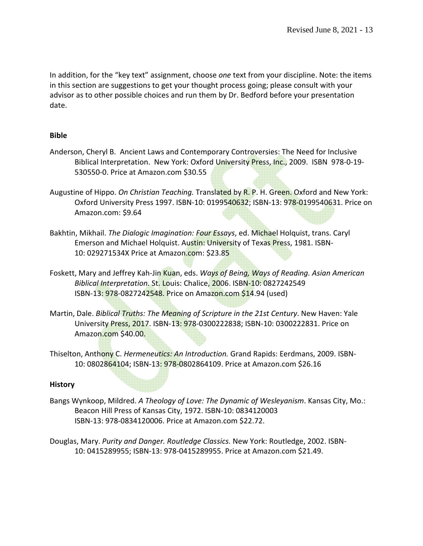In addition, for the "key text" assignment, choose *one* text from your discipline. Note: the items in this section are suggestions to get your thought process going; please consult with your advisor as to other possible choices and run them by Dr. Bedford before your presentation date.

## **Bible**

- Anderson, Cheryl B. Ancient Laws and Contemporary Controversies: The Need for Inclusive Biblical Interpretation. New York: Oxford University Press, Inc., 2009. ISBN 978-0-19-530550-0. Price at Amazon.com \$30.55
- Augustine of Hippo. *On Christian Teaching.* Translated by R. P. H. Green. Oxford and New York: Oxford University Press 1997. ISBN-10: 0199540632; ISBN-13: 978-0199540631. Price on Amazon.com: \$9.64
- Bakhtin, Mikhail. *The Dialogic Imagination: Four Essays*, ed. Michael Holquist, trans. Caryl Emerson and Michael Holquist. Austin: University of Texas Press, 1981. ISBN-10: 029271534X Price at Amazon.com: \$23.85
- Foskett, Mary and Jeffrey Kah-Jin Kuan, eds. *Ways of Being, Ways of Reading. Asian American Biblical Interpretation.* St. Louis: Chalice, 2006. ISBN-10: 0827242549 ISBN-13: 978-0827242548. Price on Amazon.com \$14.94 (used)
- Martin, Dale. *Biblical Truths: The Meaning of Scripture in the 21st Century*. New Haven: Yale University Press, 2017. ISBN-13: 978-0300222838; ISBN-10: 0300222831. Price on Amazon.com \$40.00.
- Thiselton, Anthony C. *Hermeneutics: An Introduction.* Grand Rapids: Eerdmans, 2009. ISBN-10: 0802864104; ISBN-13: 978-0802864109. Price at Amazon.com \$26.16

## **History**

- Bangs Wynkoop, Mildred. *A Theology of Love: The Dynamic of Wesleyanism*. Kansas City, Mo.: Beacon Hill Press of Kansas City, 1972. ISBN-10: 0834120003 ISBN-13: 978-0834120006. Price at Amazon.com \$22.72.
- Douglas, Mary. *Purity and Danger. Routledge Classics.* New York: Routledge, 2002. ISBN-10: 0415289955; ISBN-13: 978-0415289955. Price at Amazon.com \$21.49.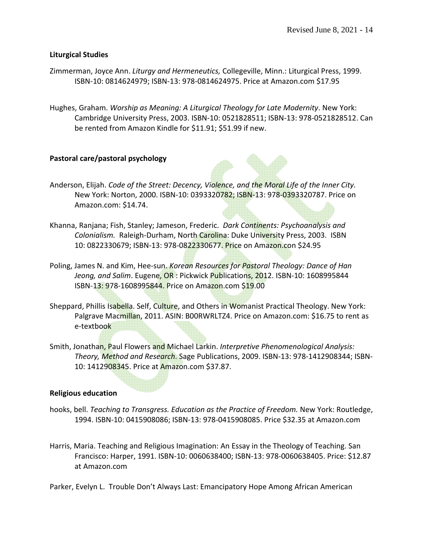#### **Liturgical Studies**

- Zimmerman, Joyce Ann. *Liturgy and Hermeneutics,* Collegeville, Minn.: Liturgical Press, 1999. ISBN-10: 0814624979; ISBN-13: 978-0814624975. Price at Amazon.com \$17.95
- Hughes, Graham. *Worship as Meaning: A Liturgical Theology for Late Modernity*. New York: Cambridge University Press, 2003. ISBN-10: 0521828511; ISBN-13: 978-0521828512. Can be rented from Amazon Kindle for \$11.91; \$51.99 if new.

#### **Pastoral care/pastoral psychology**

- Anderson, Elijah. *Code of the Street: Decency, Violence, and the Moral Life of the Inner City.* New York: Norton, 2000. ISBN-10: 0393320782; ISBN-13: 978-0393320787. Price on Amazon.com: \$14.74.
- Khanna, Ranjana; Fish, Stanley; Jameson, Frederic. *Dark Continents: Psychoanalysis and Colonialism.* Raleigh-Durham, North Carolina: Duke University Press, 2003. ISBN 10: 0822330679; ISBN-13: 978-0822330677. Price on Amazon.con \$24.95
- Poling, James N. and Kim, Hee-sun. *Korean Resources for Pastoral Theology: Dance of Han Jeong, and Salim.* Eugene, OR: Pickwick Publications, 2012. ISBN-10: 1608995844 ISBN-13: 978-1608995844. Price on Amazon.com \$19.00
- Sheppard, Phillis Isabella. Self, Culture, and Others in Womanist Practical Theology. New York: Palgrave Macmillan, 2011. ASIN: B00RWRLTZ4. Price on Amazon.com: \$16.75 to rent as e-textbook
- Smith, Jonathan, Paul Flowers and Michael Larkin. *Interpretive Phenomenological Analysis: Theory, Method and Research*. Sage Publications, 2009. ISBN-13: 978-1412908344; ISBN-10: 1412908345. Price at Amazon.com \$37.87.

#### **Religious education**

- hooks, bell. *Teaching to Transgress. Education as the Practice of Freedom.* New York: Routledge, 1994. ISBN-10: 0415908086; ISBN-13: 978-0415908085. Price \$32.35 at Amazon.com
- Harris, Maria. Teaching and Religious Imagination: An Essay in the Theology of Teaching. San Francisco: Harper, 1991. ISBN-10: 0060638400; ISBN-13: 978-0060638405. Price: \$12.87 at Amazon.com

Parker, Evelyn L. Trouble Don't Always Last: Emancipatory Hope Among African American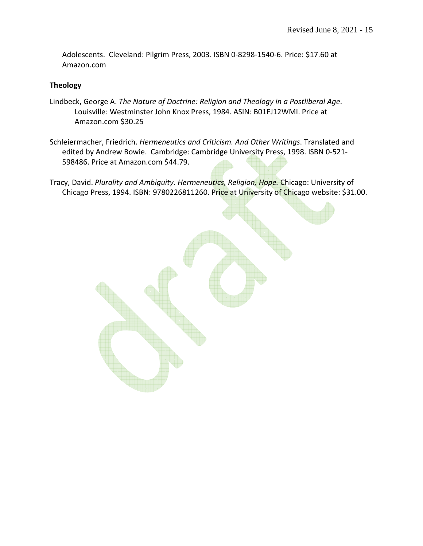Adolescents. Cleveland: Pilgrim Press, 2003. ISBN 0-8298-1540-6. Price: \$17.60 at Amazon.com

#### **Theology**

- Lindbeck, George A. *The Nature of Doctrine: Religion and Theology in a Postliberal Age*. Louisville: Westminster John Knox Press, 1984. ASIN: B01FJ12WMI. Price at Amazon.com \$30.25
- Schleiermacher, Friedrich. *Hermeneutics and Criticism. And Other Writings*. Translated and edited by Andrew Bowie. Cambridge: Cambridge University Press, 1998. ISBN 0-521- 598486. Price at Amazon.com \$44.79.
- Tracy, David. *Plurality and Ambiguity. Hermeneutics, Religion, Hope.* Chicago: University of Chicago Press, 1994. ISBN: 9780226811260. Price at University of Chicago website: \$31.00.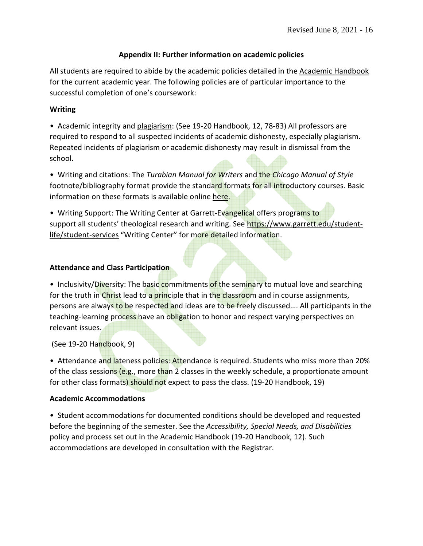## **Appendix II: Further information on academic policies**

All students are required to abide by the academic policies detailed in the Academic Handbook for the current academic year. The following policies are of particular importance to the successful completion of one's coursework:

## **Writing**

• Academic integrity and plagiarism: (See 19-20 Handbook, 12, 78-83) All professors are required to respond to all suspected incidents of academic dishonesty, especially plagiarism. Repeated incidents of plagiarism or academic dishonesty may result in dismissal from the school.

• Writing and citations: The *Turabian Manual for Writers* and the *Chicago Manual of Style* footnote/bibliography format provide the standard formats for all introductory courses. Basic information on these formats is available online here.

• Writing Support: The Writing Center at Garrett-Evangelical offers programs to support all students' theological research and writing. See https://www.garrett.edu/studentlife/student-services "Writing Center" for more detailed information.

## **Attendance and Class Participation**

• Inclusivity/Diversity: The basic commitments of the seminary to mutual love and searching for the truth in Christ lead to a principle that in the classroom and in course assignments, persons are always to be respected and ideas are to be freely discussed.... All participants in the teaching-learning process have an obligation to honor and respect varying perspectives on relevant issues.

(See 19-20 Handbook, 9)

• Attendance and lateness policies: Attendance is required. Students who miss more than 20% of the class sessions (e.g., more than 2 classes in the weekly schedule, a proportionate amount for other class formats) should not expect to pass the class. (19-20 Handbook, 19)

## **Academic Accommodations**

• Student accommodations for documented conditions should be developed and requested before the beginning of the semester. See the *Accessibility, Special Needs, and Disabilities* policy and process set out in the Academic Handbook (19-20 Handbook, 12). Such accommodations are developed in consultation with the Registrar.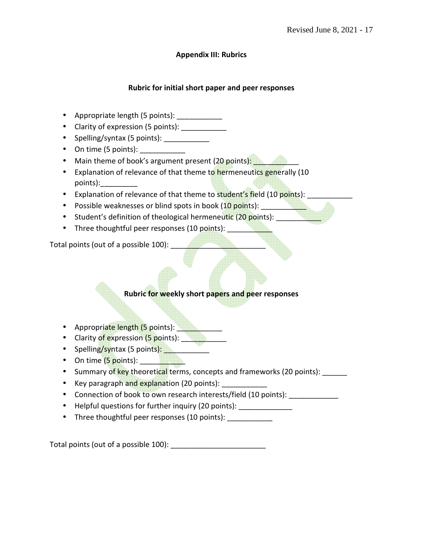## **Appendix III: Rubrics**

## **Rubric for initial short paper and peer responses**

- Appropriate length (5 points):
- Clarity of expression (5 points): \_\_\_\_\_\_\_\_\_\_\_\_
- Spelling/syntax (5 points): \_\_\_\_\_\_\_\_\_\_\_\_
- On time (5 points):
- Main theme of book's argument present (20 points):
- Explanation of relevance of that theme to hermeneutics generally (10 points):\_\_\_\_\_\_\_\_\_
- Explanation of relevance of that theme to student's field (10 points):
- Possible weaknesses or blind spots in book (10 points): \_\_\_\_\_\_\_
- Student's definition of theological hermeneutic (20 points):
- Three thoughtful peer responses (10 points):

Total points (out of a possible 100):

## **Rubric for weekly short papers and peer responses**

- Appropriate length (5 points): Network of the Appropriate length (5 points):
- Clarity of expression (5 points):
- Spelling/syntax (5 points):
- On time  $(5 \text{ points})$ :
- Summary of key theoretical terms, concepts and frameworks (20 points):
- Key paragraph and explanation (20 points):
- Connection of book to own research interests/field (10 points):
- Helpful questions for further inquiry (20 points): \_\_\_\_\_\_\_\_\_\_\_\_\_\_
- Three thoughtful peer responses (10 points):

Total points (out of a possible 100):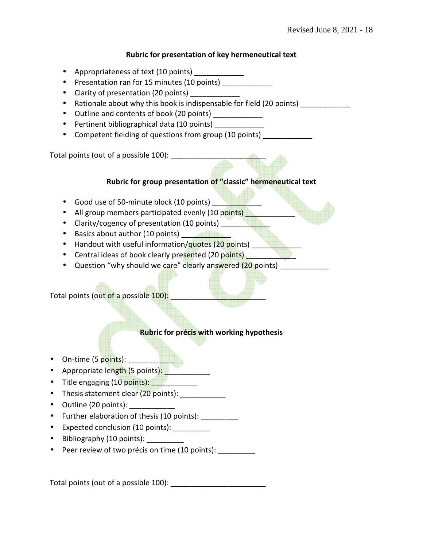#### **Rubric for presentation of key hermeneutical text**

- Appropriateness of text (10 points) \_\_\_\_\_\_\_\_\_\_\_\_
- Presentation ran for 15 minutes (10 points) \_\_\_\_\_\_\_\_\_\_\_
- Clarity of presentation (20 points)
- Rationale about why this book is indispensable for field (20 points)
- Outline and contents of book (20 points)
- Pertinent bibliographical data (10 points) \_\_\_\_\_\_\_\_\_\_\_\_
- Competent fielding of questions from group (10 points)

Total points (out of a possible 100):

## **Rubric for group presentation of "classic" hermeneutical text**

- Good use of 50-minute block (10 points)
- All group members participated evenly (10 points) **All and Strong Points**
- Clarity/cogency of presentation (10 points) \_\_\_\_\_\_\_\_
- Basics about author (10 points)
- Handout with useful information/quotes (20 points) \_\_\_\_\_\_\_\_\_\_\_\_\_\_\_\_\_\_\_\_\_\_\_\_\_\_\_
- Central ideas of book clearly presented (20 points) \_\_\_\_\_\_\_
- Question "why should we care" clearly answered (20 points) \_\_\_\_\_\_\_\_\_\_\_\_

Total points (out of a possible 100):

## **Rubric for précis with working hypothesis**

- On-time (5 points): \_\_\_\_\_\_\_\_\_\_\_
- Appropriate length (5 points): Networkship
- Title engaging (10 points):
- Thesis statement clear (20 points): \_\_\_\_\_\_\_\_\_\_\_
- Outline (20 points):
- Further elaboration of thesis (10 points): \_\_\_\_\_\_\_\_\_
- Expected conclusion (10 points): \_\_\_\_\_\_\_\_\_
- Bibliography (10 points):
- Peer review of two précis on time (10 points): \_\_\_\_\_\_\_\_\_

Total points (out of a possible 100):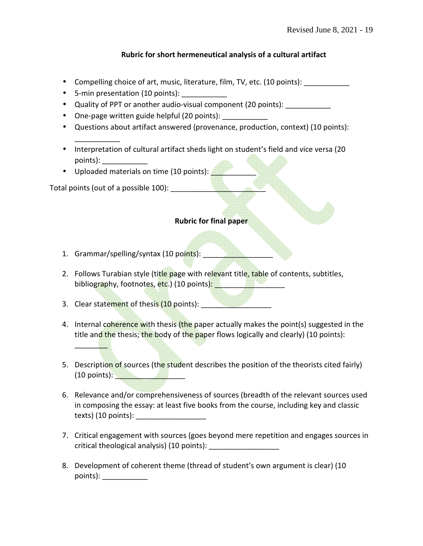## **Rubric for short hermeneutical analysis of a cultural artifact**

- Compelling choice of art, music, literature, film, TV, etc. (10 points):
- 5-min presentation (10 points):
- Quality of PPT or another audio-visual component (20 points):
- One-page written guide helpful (20 points):
- Questions about artifact answered (provenance, production, context) (10 points):
- Interpretation of cultural artifact sheds light on student's field and vice versa (20 points): \_\_\_\_\_\_\_\_\_\_\_
- Uploaded materials on time (10 points):

Total points (out of a possible 100):

\_\_\_\_\_\_\_\_\_\_\_

#### **Rubric for final paper**

- 1. Grammar/spelling/syntax (10 points):
- 2. Follows Turabian style (title page with relevant title, table of contents, subtitles, bibliography, footnotes, etc.) (10 points): **while the set of the set of the set of the set of the set of the s**
- 3. Clear statement of thesis (10 points):

\_\_\_\_\_\_\_\_

- 4. Internal coherence with thesis (the paper actually makes the point(s) suggested in the title and the thesis; the body of the paper flows logically and clearly) (10 points):
- 5. Description of sources (the student describes the position of the theorists cited fairly)  $(10 \text{ points})$ :
- 6. Relevance and/or comprehensiveness of sources (breadth of the relevant sources used in composing the essay: at least five books from the course, including key and classic texts)  $(10 \text{ points})$ :
- 7. Critical engagement with sources (goes beyond mere repetition and engages sources in critical theological analysis) (10 points):
- 8. Development of coherent theme (thread of student's own argument is clear) (10 points):